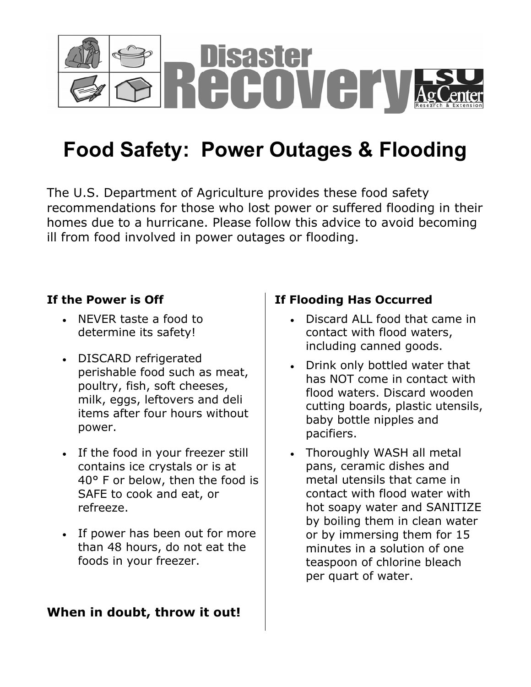

# **Food Safety: Power Outages & Flooding**

The U.S. Department of Agriculture provides these food safety recommendations for those who lost power or suffered flooding in their homes due to a hurricane. Please follow this advice to avoid becoming ill from food involved in power outages or flooding.

## **If the Power is Off**

- NEVER taste a food to determine its safety!
- DISCARD refrigerated perishable food such as meat, poultry, fish, soft cheeses, milk, eggs, leftovers and deli items after four hours without power.
- If the food in your freezer still contains ice crystals or is at 40° F or below, then the food is SAFE to cook and eat, or refreeze.
- If power has been out for more than 48 hours, do not eat the foods in your freezer.

## **When in doubt, throw it out!**

## **If Flooding Has Occurred**

- Discard ALL food that came in contact with flood waters, including canned goods.
- Drink only bottled water that has NOT come in contact with flood waters. Discard wooden cutting boards, plastic utensils, baby bottle nipples and pacifiers.
- Thoroughly WASH all metal pans, ceramic dishes and metal utensils that came in contact with flood water with hot soapy water and SANITIZE by boiling them in clean water or by immersing them for 15 minutes in a solution of one teaspoon of chlorine bleach per quart of water.